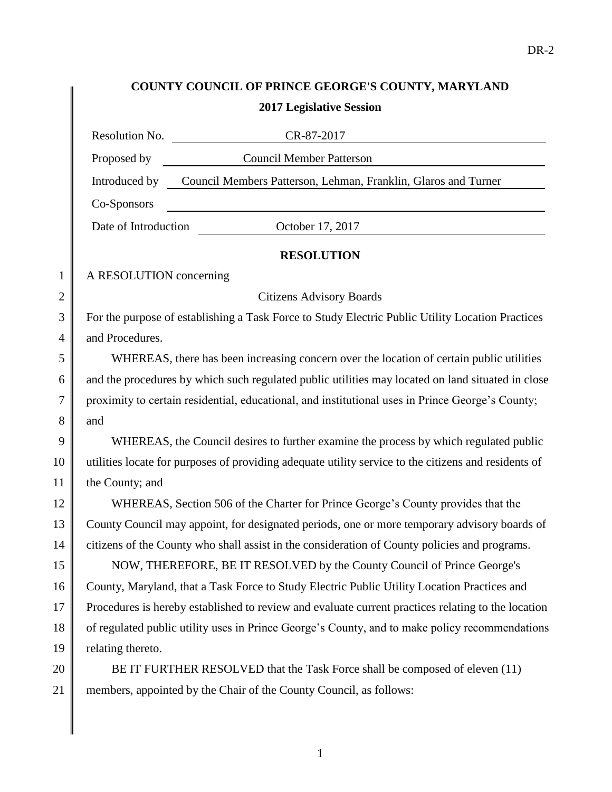## **COUNTY COUNCIL OF PRINCE GEORGE'S COUNTY, MARYLAND 2017 Legislative Session**

|                | Resolution No.<br>CR-87-2017                                                                         |
|----------------|------------------------------------------------------------------------------------------------------|
|                | <b>Council Member Patterson</b><br>Proposed by                                                       |
|                | Council Members Patterson, Lehman, Franklin, Glaros and Turner<br>Introduced by                      |
|                | Co-Sponsors                                                                                          |
|                | Date of Introduction<br>October 17, 2017                                                             |
|                | <b>RESOLUTION</b>                                                                                    |
| 1              | A RESOLUTION concerning                                                                              |
| $\overline{2}$ | <b>Citizens Advisory Boards</b>                                                                      |
| 3              | For the purpose of establishing a Task Force to Study Electric Public Utility Location Practices     |
| $\overline{4}$ | and Procedures.                                                                                      |
| 5              | WHEREAS, there has been increasing concern over the location of certain public utilities             |
| 6              | and the procedures by which such regulated public utilities may located on land situated in close    |
| 7              | proximity to certain residential, educational, and institutional uses in Prince George's County;     |
| 8              | and                                                                                                  |
| 9              | WHEREAS, the Council desires to further examine the process by which regulated public                |
| 10             | utilities locate for purposes of providing adequate utility service to the citizens and residents of |
| 11             | the County; and                                                                                      |
| 12             | WHEREAS, Section 506 of the Charter for Prince George's County provides that the                     |
| 13             | County Council may appoint, for designated periods, one or more temporary advisory boards of         |
| 14             | citizens of the County who shall assist in the consideration of County policies and programs.        |
| 15             | NOW, THEREFORE, BE IT RESOLVED by the County Council of Prince George's                              |
| 16             | County, Maryland, that a Task Force to Study Electric Public Utility Location Practices and          |
| 17             | Procedures is hereby established to review and evaluate current practices relating to the location   |
| 18             | of regulated public utility uses in Prince George's County, and to make policy recommendations       |
| 19             | relating thereto.                                                                                    |
| 20             | BE IT FURTHER RESOLVED that the Task Force shall be composed of eleven (11)                          |
| 21             | members, appointed by the Chair of the County Council, as follows:                                   |

1